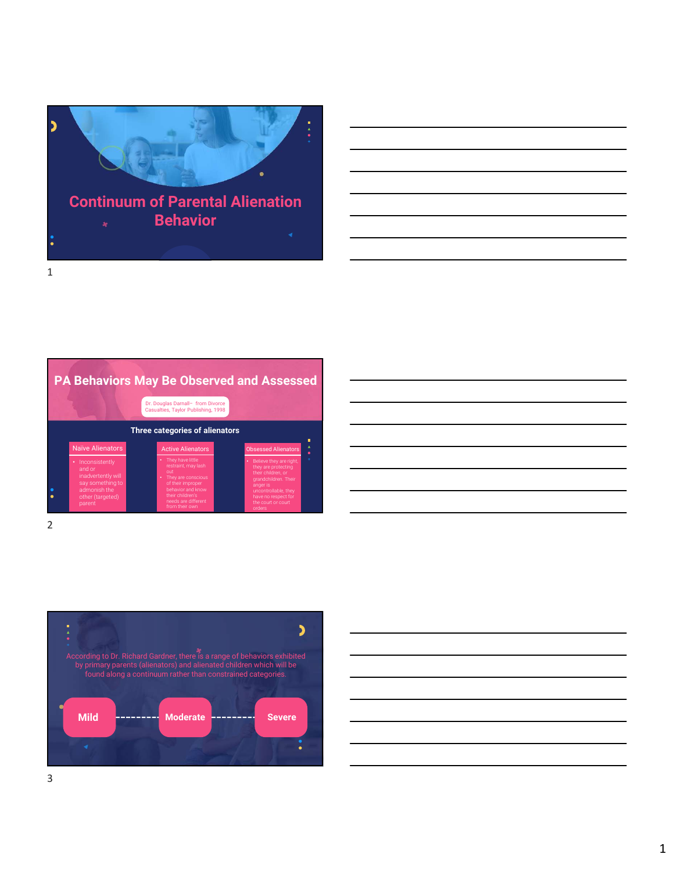

|                                                                                                                    | PA Behaviors May Be Observed and Assessed<br>Dr. Douglas Darnall- from Divorce<br>Casualties, Taylor Publishing, 1998                                                           |                                                                                                                                                                                           |                            |
|--------------------------------------------------------------------------------------------------------------------|---------------------------------------------------------------------------------------------------------------------------------------------------------------------------------|-------------------------------------------------------------------------------------------------------------------------------------------------------------------------------------------|----------------------------|
| Naïve Alienators                                                                                                   | Three categories of alienators<br><b>Active Alienators</b>                                                                                                                      | <b>Obsessed Alienators</b>                                                                                                                                                                | п<br>$\blacktriangle$<br>۰ |
| • Inconsistently<br>and or<br>inadvertently will<br>say something to<br>admonish the<br>other (targeted)<br>parent | • They have little<br>restraint, may lash<br>out<br>• They are conscious<br>of their improper<br>behavior and know<br>their children's<br>needs are different<br>from their own | • Believe they are right,<br>they are protecting<br>their children, or<br>grandchildren. Their<br>anger is<br>uncontrollable, they<br>have no respect for<br>the court or court<br>orders | ÷                          |

2 and 2 and 2 and 2 and 2 and 2 and 2 and 2 and 2 and 2 and 2 and 2 and 2 and 2 and 2 and 2 and 2 and 2 and 2

| าd Assessed                                                                               |  |  |  |  |  |
|-------------------------------------------------------------------------------------------|--|--|--|--|--|
|                                                                                           |  |  |  |  |  |
| ٠<br>$\blacktriangle$<br>Obsessed Alienators<br>$\bullet$<br>÷<br>Believe they are right, |  |  |  |  |  |
| they are protecting<br>their children, or<br>grandchildren. Their<br>anger is             |  |  |  |  |  |
| uncontrollable, they<br>have no respect for<br>the court or court<br>orders               |  |  |  |  |  |



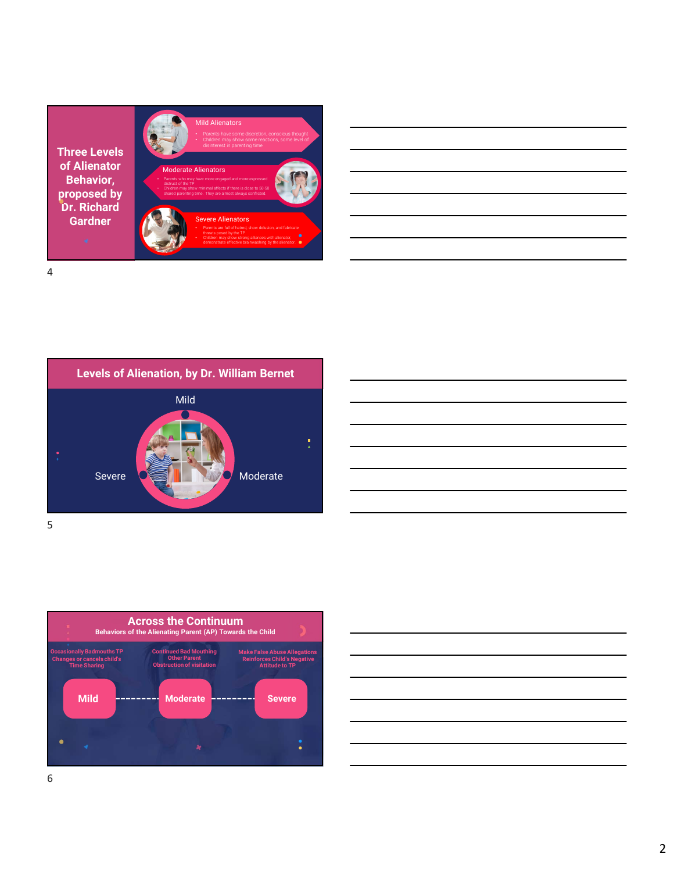











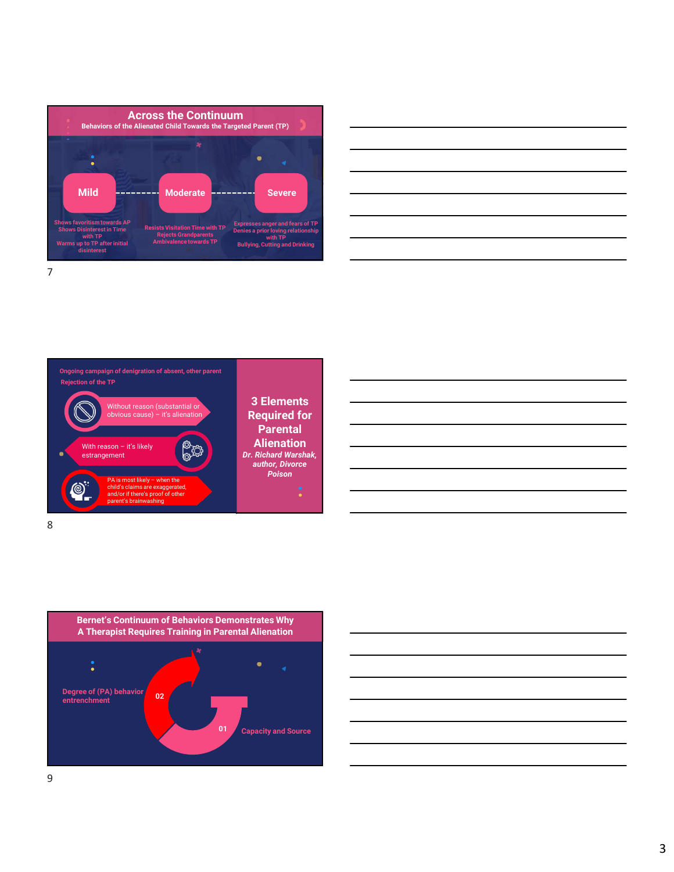



3 Elements Required for **Parental Alienation** Dr. Richard Warshak, author, Divorce **Poison and the contract of the contract of the contract of the contract of the contract of the contract of the contract of the contract of the contract of the contract of the contract of the contract of the contract of th** Without reason (substantial or<br>obvious cause) – it's alienation Middle Contracts and the Contracts of the Contracts of the Contracts of the Contracts of the Contracts of the Contracts of the Contracts of the Contracts of the Contracts of the Contracts of the Contracts of the Contracts With reason – it's likely<br>estrangement equined AP<br>
mathematical Properties The settlet The Content of the Content of the Content of the Content of the Content of the Content<br>
A is most likely distribution of the set of the Content of Content of the Content<br>
and child's claims are exaggerated, and/or if there's proof of other and a set of the set of the set of the set of the set of the set of the set o parent's brainwashing Ongoing campaign of denigration of absent, other parent en paign of designation of absent, other parentt<br>
(by thronus reason (substantial or<br>
which reason – it's likely<br>
estimates — it's likely<br>
Continuum of Behaviors Demonstrates Why<br>
estimates Continuum of Behaviors Demonstra